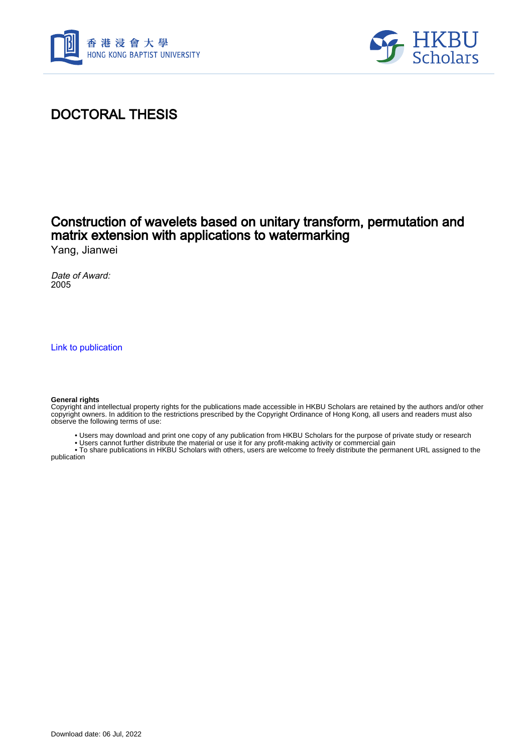



# DOCTORAL THESIS

## Construction of wavelets based on unitary transform, permutation and matrix extension with applications to watermarking

Yang, Jianwei

Date of Award: 2005

[Link to publication](https://scholars.hkbu.edu.hk/en/studentTheses/68a1c9f3-690b-4e3c-8428-85a5572d4cb0)

#### **General rights**

Copyright and intellectual property rights for the publications made accessible in HKBU Scholars are retained by the authors and/or other copyright owners. In addition to the restrictions prescribed by the Copyright Ordinance of Hong Kong, all users and readers must also observe the following terms of use:

- Users may download and print one copy of any publication from HKBU Scholars for the purpose of private study or research
- Users cannot further distribute the material or use it for any profit-making activity or commercial gain

 • To share publications in HKBU Scholars with others, users are welcome to freely distribute the permanent URL assigned to the publication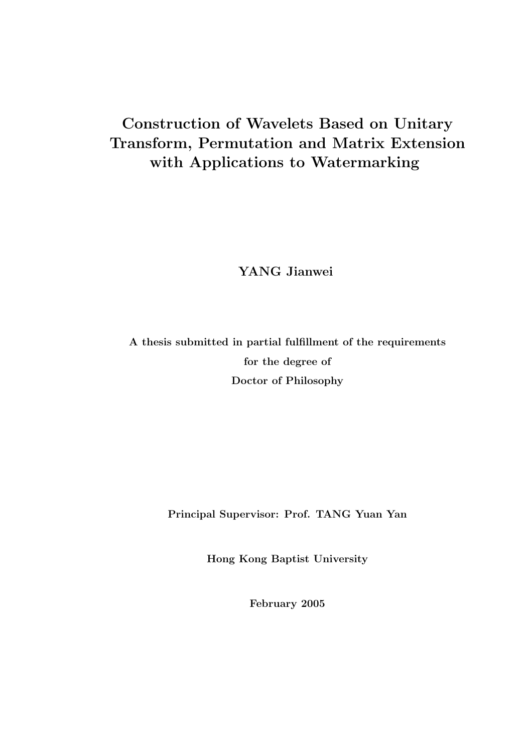# Construction of Wavelets Based on Unitary Transform, Permutation and Matrix Extension with Applications to Watermarking

YANG Jianwei

A thesis submitted in partial fulfillment of the requirements for the degree of Doctor of Philosophy

Principal Supervisor: Prof. TANG Yuan Yan

Hong Kong Baptist University

February 2005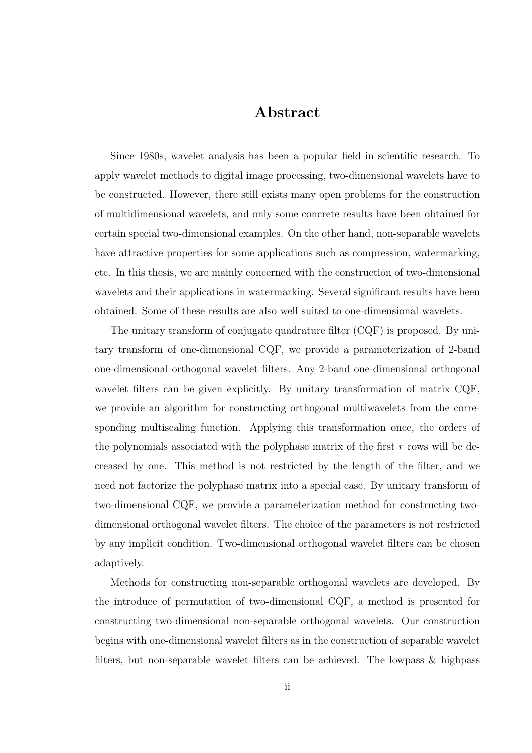### Abstract

Since 1980s, wavelet analysis has been a popular field in scientific research. To apply wavelet methods to digital image processing, two-dimensional wavelets have to be constructed. However, there still exists many open problems for the construction of multidimensional wavelets, and only some concrete results have been obtained for certain special two-dimensional examples. On the other hand, non-separable wavelets have attractive properties for some applications such as compression, watermarking, etc. In this thesis, we are mainly concerned with the construction of two-dimensional wavelets and their applications in watermarking. Several significant results have been obtained. Some of these results are also well suited to one-dimensional wavelets.

The unitary transform of conjugate quadrature filter (CQF) is proposed. By unitary transform of one-dimensional CQF, we provide a parameterization of 2-band one-dimensional orthogonal wavelet filters. Any 2-band one-dimensional orthogonal wavelet filters can be given explicitly. By unitary transformation of matrix CQF, we provide an algorithm for constructing orthogonal multiwavelets from the corresponding multiscaling function. Applying this transformation once, the orders of the polynomials associated with the polyphase matrix of the first  $r$  rows will be decreased by one. This method is not restricted by the length of the filter, and we need not factorize the polyphase matrix into a special case. By unitary transform of two-dimensional CQF, we provide a parameterization method for constructing twodimensional orthogonal wavelet filters. The choice of the parameters is not restricted by any implicit condition. Two-dimensional orthogonal wavelet filters can be chosen adaptively.

Methods for constructing non-separable orthogonal wavelets are developed. By the introduce of permutation of two-dimensional CQF, a method is presented for constructing two-dimensional non-separable orthogonal wavelets. Our construction begins with one-dimensional wavelet filters as in the construction of separable wavelet filters, but non-separable wavelet filters can be achieved. The lowpass & highpass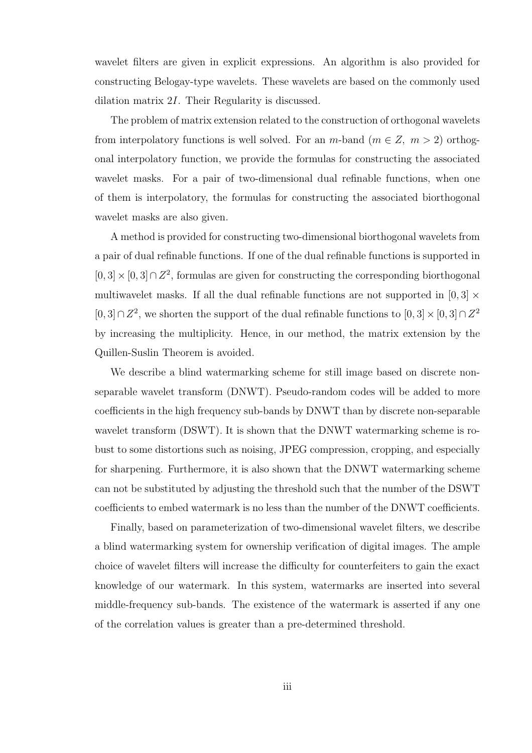wavelet filters are given in explicit expressions. An algorithm is also provided for constructing Belogay-type wavelets. These wavelets are based on the commonly used dilation matrix 2I. Their Regularity is discussed.

The problem of matrix extension related to the construction of orthogonal wavelets from interpolatory functions is well solved. For an  $m$ -band  $(m \in Z, m > 2)$  orthogonal interpolatory function, we provide the formulas for constructing the associated wavelet masks. For a pair of two-dimensional dual refinable functions, when one of them is interpolatory, the formulas for constructing the associated biorthogonal wavelet masks are also given.

A method is provided for constructing two-dimensional biorthogonal wavelets from a pair of dual refinable functions. If one of the dual refinable functions is supported in  $[0, 3] \times [0, 3] \cap \mathbb{Z}^2$ , formulas are given for constructing the corresponding biorthogonal multiwavelet masks. If all the dual refinable functions are not supported in  $[0,3] \times$ [0, 3]∩  $Z^2$ , we shorten the support of the dual refinable functions to  $[0, 3] \times [0, 3] \cap Z^2$ by increasing the multiplicity. Hence, in our method, the matrix extension by the Quillen-Suslin Theorem is avoided.

We describe a blind watermarking scheme for still image based on discrete nonseparable wavelet transform (DNWT). Pseudo-random codes will be added to more coefficients in the high frequency sub-bands by DNWT than by discrete non-separable wavelet transform (DSWT). It is shown that the DNWT watermarking scheme is robust to some distortions such as noising, JPEG compression, cropping, and especially for sharpening. Furthermore, it is also shown that the DNWT watermarking scheme can not be substituted by adjusting the threshold such that the number of the DSWT coefficients to embed watermark is no less than the number of the DNWT coefficients.

Finally, based on parameterization of two-dimensional wavelet filters, we describe a blind watermarking system for ownership verification of digital images. The ample choice of wavelet filters will increase the difficulty for counterfeiters to gain the exact knowledge of our watermark. In this system, watermarks are inserted into several middle-frequency sub-bands. The existence of the watermark is asserted if any one of the correlation values is greater than a pre-determined threshold.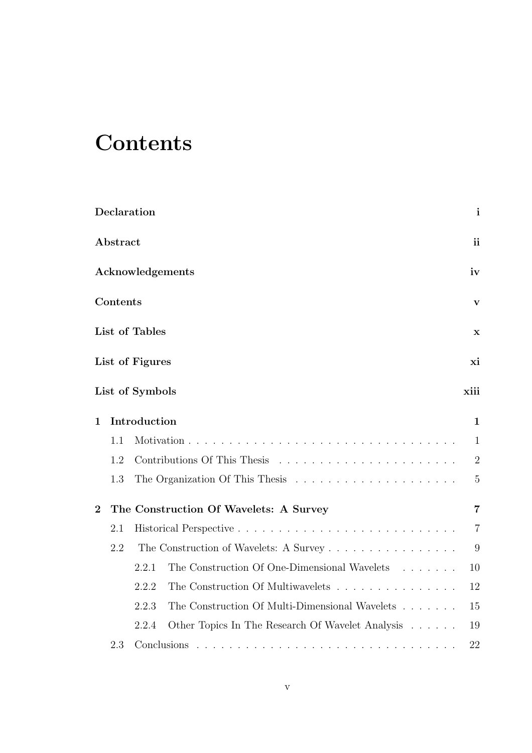# **Contents**

|                |          | Declaration     |                                                                           | $\mathbf{i}$   |
|----------------|----------|-----------------|---------------------------------------------------------------------------|----------------|
|                | Abstract |                 |                                                                           | <sub>ii</sub>  |
|                |          |                 | Acknowledgements                                                          | iv             |
|                | Contents |                 |                                                                           | $\mathbf{V}$   |
|                |          | List of Tables  |                                                                           | X              |
|                |          | List of Figures |                                                                           | xi             |
|                |          | List of Symbols |                                                                           | xiii           |
| $\mathbf 1$    |          | Introduction    |                                                                           | $\mathbf{1}$   |
|                | 1.1      |                 |                                                                           | $\mathbf{1}$   |
|                | 1.2      |                 |                                                                           | $\overline{2}$ |
|                | 1.3      |                 |                                                                           | $\overline{5}$ |
| $\overline{2}$ |          |                 | The Construction Of Wavelets: A Survey                                    | $\overline{7}$ |
|                | 2.1      |                 |                                                                           | $\overline{7}$ |
|                | 2.2      |                 | The Construction of Wavelets: A Survey                                    | 9              |
|                |          | 2.2.1           | The Construction Of One-Dimensional Wavelets                              | 10             |
|                |          | 2.2.2           | The Construction Of Multiwavelets                                         | 12             |
|                |          | 2.2.3           | The Construction Of Multi-Dimensional Wavelets $\hfill\ldots\ldots\ldots$ | 15             |
|                |          | 2.2.4           | Other Topics In The Research Of Wavelet Analysis                          | 19             |
|                | 2.3      |                 | Conclusions                                                               | 22             |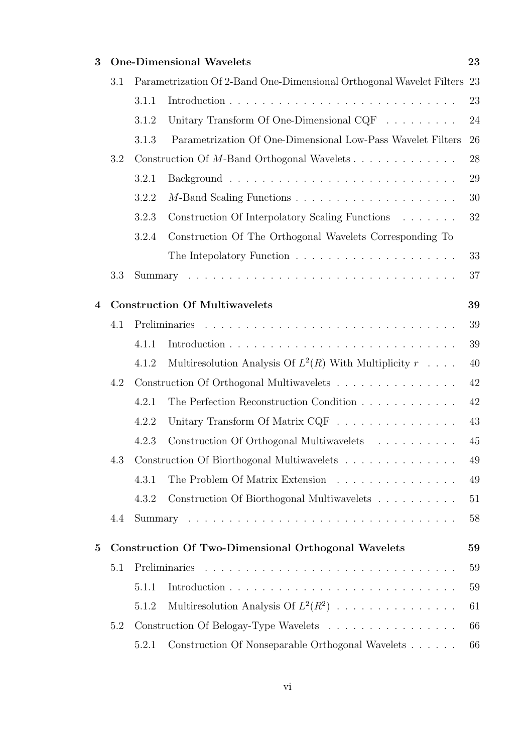| 3            |     |                                                                      | <b>One-Dimensional Wavelets</b>                                    | 23 |  |  |
|--------------|-----|----------------------------------------------------------------------|--------------------------------------------------------------------|----|--|--|
|              | 3.1 | Parametrization Of 2-Band One-Dimensional Orthogonal Wavelet Filters |                                                                    | 23 |  |  |
|              |     | 3.1.1                                                                |                                                                    | 23 |  |  |
|              |     | 3.1.2                                                                | Unitary Transform Of One-Dimensional CQF $\ldots \ldots \ldots$    | 24 |  |  |
|              |     | 3.1.3                                                                | Parametrization Of One-Dimensional Low-Pass Wavelet Filters        | 26 |  |  |
|              | 3.2 |                                                                      | Construction Of M-Band Orthogonal Wavelets                         | 28 |  |  |
|              |     | 3.2.1                                                                |                                                                    | 29 |  |  |
|              |     | 3.2.2                                                                |                                                                    | 30 |  |  |
|              |     | 3.2.3                                                                | Construction Of Interpolatory Scaling Functions                    | 32 |  |  |
|              |     | 3.2.4                                                                | Construction Of The Orthogonal Wavelets Corresponding To           |    |  |  |
|              |     |                                                                      |                                                                    | 33 |  |  |
|              | 3.3 |                                                                      |                                                                    | 37 |  |  |
| 4            |     | <b>Construction Of Multiwavelets</b><br>39                           |                                                                    |    |  |  |
|              | 4.1 |                                                                      |                                                                    | 39 |  |  |
|              |     | 4.1.1                                                                |                                                                    | 39 |  |  |
|              |     | 4.1.2                                                                | Multiresolution Analysis Of $L^2(R)$ With Multiplicity $r \dots$ . | 40 |  |  |
|              | 4.2 |                                                                      | Construction Of Orthogonal Multiwavelets                           | 42 |  |  |
|              |     | 4.2.1                                                                | The Perfection Reconstruction Condition                            | 42 |  |  |
|              |     | 4.2.2                                                                | Unitary Transform Of Matrix CQF                                    | 43 |  |  |
|              |     | 4.2.3                                                                |                                                                    | 45 |  |  |
|              | 4.3 |                                                                      | Construction Of Biorthogonal Multiwavelets                         | 49 |  |  |
|              |     | 4.3.1                                                                | The Problem Of Matrix Extension                                    | 49 |  |  |
|              |     | 4.3.2                                                                | Construction Of Biorthogonal Multiwavelets                         | 51 |  |  |
|              | 4.4 |                                                                      |                                                                    | 58 |  |  |
| $\mathbf{5}$ |     | <b>Construction Of Two-Dimensional Orthogonal Wavelets</b><br>59     |                                                                    |    |  |  |
|              | 5.1 |                                                                      |                                                                    | 59 |  |  |
|              |     | 5.1.1                                                                |                                                                    | 59 |  |  |
|              |     | 5.1.2                                                                | Multiresolution Analysis Of $L^2(R^2)$                             | 61 |  |  |
|              | 5.2 |                                                                      | Construction Of Belogay-Type Wavelets                              | 66 |  |  |
|              |     | 5.2.1                                                                | Construction Of Nonseparable Orthogonal Wavelets                   | 66 |  |  |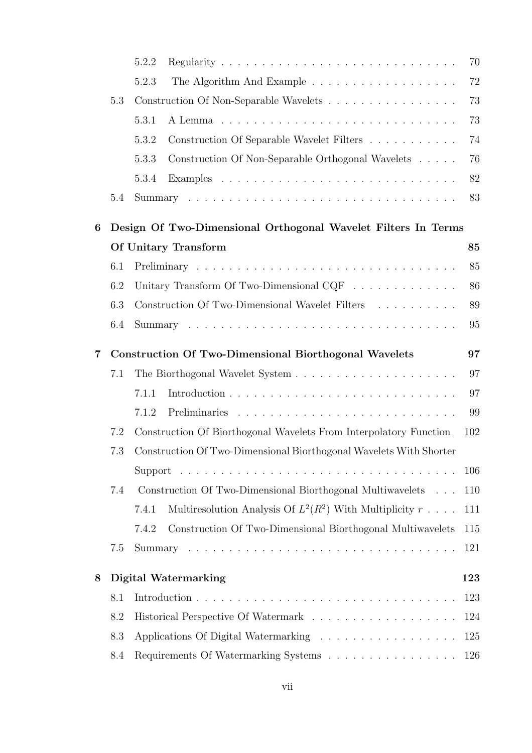|                  |                                                                    | 5.2.2                                                                          | 70  |  |  |
|------------------|--------------------------------------------------------------------|--------------------------------------------------------------------------------|-----|--|--|
|                  |                                                                    | 5.2.3                                                                          | 72  |  |  |
|                  | 5.3                                                                | Construction Of Non-Separable Wavelets                                         | 73  |  |  |
|                  |                                                                    | 5.3.1                                                                          | 73  |  |  |
|                  |                                                                    | 5.3.2<br>Construction Of Separable Wavelet Filters                             | 74  |  |  |
|                  |                                                                    | Construction Of Non-Separable Orthogonal Wavelets<br>5.3.3                     | 76  |  |  |
|                  |                                                                    | 5.3.4                                                                          | 82  |  |  |
|                  | $5.4\,$                                                            |                                                                                | 83  |  |  |
| $\boldsymbol{6}$ | Design Of Two-Dimensional Orthogonal Wavelet Filters In Terms      |                                                                                |     |  |  |
|                  |                                                                    | Of Unitary Transform                                                           | 85  |  |  |
|                  | 6.1                                                                |                                                                                | 85  |  |  |
|                  | 6.2                                                                | Unitary Transform Of Two-Dimensional CQF $\ldots \ldots \ldots \ldots$         | 86  |  |  |
|                  | 6.3                                                                | Construction Of Two-Dimensional Wavelet Filters                                | 89  |  |  |
|                  | 6.4                                                                |                                                                                | 95  |  |  |
| $\overline{7}$   | <b>Construction Of Two-Dimensional Biorthogonal Wavelets</b><br>97 |                                                                                |     |  |  |
|                  | 7.1                                                                |                                                                                | 97  |  |  |
|                  |                                                                    | 7.1.1                                                                          | 97  |  |  |
|                  |                                                                    | 7.1.2                                                                          | 99  |  |  |
|                  | 7.2                                                                | Construction Of Biorthogonal Wavelets From Interpolatory Function              | 102 |  |  |
|                  | 7.3                                                                | Construction Of Two-Dimensional Biorthogonal Wavelets With Shorter             |     |  |  |
|                  |                                                                    |                                                                                | 106 |  |  |
|                  | 7.4                                                                | Construction Of Two-Dimensional Biorthogonal Multiwavelets                     | 110 |  |  |
|                  |                                                                    | Multiresolution Analysis Of $L^2(R^2)$ With Multiplicity $r \ldots$ .<br>7.4.1 | 111 |  |  |
|                  |                                                                    | Construction Of Two-Dimensional Biorthogonal Multiwavelets<br>7.4.2            | 115 |  |  |
|                  | 7.5                                                                |                                                                                | 121 |  |  |
| 8                |                                                                    | <b>Digital Watermarking</b>                                                    | 123 |  |  |
|                  | 8.1                                                                |                                                                                | 123 |  |  |
|                  | 8.2                                                                |                                                                                | 124 |  |  |
|                  | 8.3                                                                | Applications Of Digital Watermarking                                           | 125 |  |  |
|                  | 8.4                                                                | Requirements Of Watermarking Systems                                           | 126 |  |  |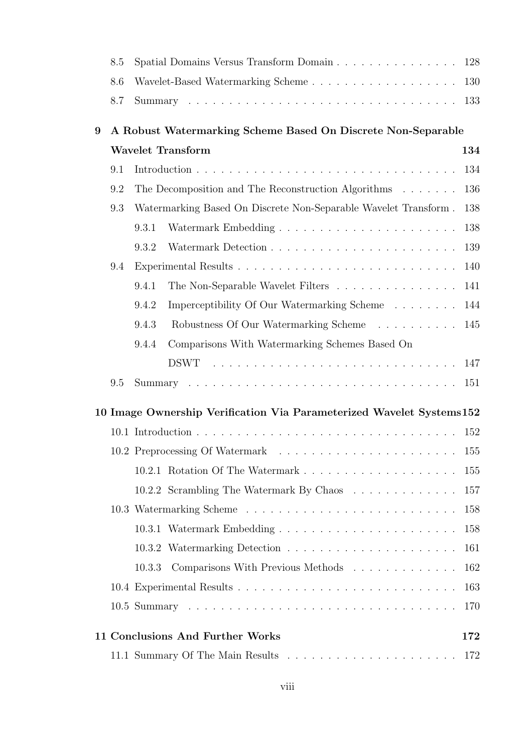|   | 8.5                                                          | Spatial Domains Versus Transform Domain                              | 128        |  |  |  |
|---|--------------------------------------------------------------|----------------------------------------------------------------------|------------|--|--|--|
|   | 8.6                                                          | Wavelet-Based Watermarking Scheme                                    | 130        |  |  |  |
|   | 8.7                                                          |                                                                      | 133        |  |  |  |
| 9 | A Robust Watermarking Scheme Based On Discrete Non-Separable |                                                                      |            |  |  |  |
|   |                                                              | <b>Wavelet Transform</b>                                             | 134        |  |  |  |
|   | 9.1                                                          |                                                                      | 134        |  |  |  |
|   | 9.2                                                          | The Decomposition and The Reconstruction Algorithms                  | 136        |  |  |  |
|   | 9.3                                                          | Watermarking Based On Discrete Non-Separable Wavelet Transform.      | 138        |  |  |  |
|   |                                                              | 9.3.1                                                                | 138        |  |  |  |
|   |                                                              | 9.3.2                                                                | 139        |  |  |  |
|   | 9.4                                                          |                                                                      | 140        |  |  |  |
|   |                                                              | 9.4.1<br>The Non-Separable Wavelet Filters                           | 141        |  |  |  |
|   |                                                              | Imperceptibility Of Our Watermarking Scheme<br>9.4.2                 | 144        |  |  |  |
|   |                                                              | 9.4.3<br>Robustness Of Our Watermarking Scheme                       | 145        |  |  |  |
|   |                                                              | Comparisons With Watermarking Schemes Based On<br>9.4.4              |            |  |  |  |
|   |                                                              |                                                                      | 147        |  |  |  |
|   | 9.5                                                          |                                                                      | 151        |  |  |  |
|   |                                                              | 10 Image Ownership Verification Via Parameterized Wavelet Systems152 |            |  |  |  |
|   |                                                              |                                                                      | 152        |  |  |  |
|   |                                                              |                                                                      |            |  |  |  |
|   |                                                              |                                                                      | 155        |  |  |  |
|   |                                                              | 10.2.2 Scrambling The Watermark By Chaos                             | 157        |  |  |  |
|   |                                                              |                                                                      | 158        |  |  |  |
|   |                                                              |                                                                      | 158        |  |  |  |
|   |                                                              |                                                                      |            |  |  |  |
|   |                                                              | 10.3.3                                                               | 161<br>162 |  |  |  |
|   |                                                              | Comparisons With Previous Methods                                    | 163        |  |  |  |
|   |                                                              |                                                                      |            |  |  |  |
|   |                                                              |                                                                      | 170        |  |  |  |
|   |                                                              | 11 Conclusions And Further Works                                     | 172        |  |  |  |
|   |                                                              |                                                                      | 172        |  |  |  |